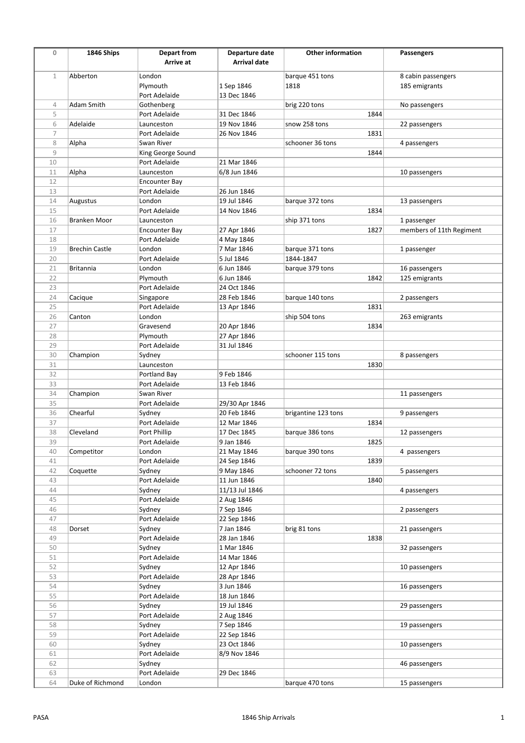| $\mathbf 0$       | 1846 Ships            | <b>Depart from</b>      | Departure date             | <b>Other information</b> | Passengers               |
|-------------------|-----------------------|-------------------------|----------------------------|--------------------------|--------------------------|
|                   |                       | Arrive at               | Arrival date               |                          |                          |
|                   |                       |                         |                            |                          |                          |
| $\mathbf 1$       | Abberton              | London                  |                            | barque 451 tons          | 8 cabin passengers       |
|                   |                       | Plymouth                | 1 Sep 1846                 | 1818                     | 185 emigrants            |
|                   |                       | Port Adelaide           | 13 Dec 1846                |                          |                          |
| $\overline{4}$    | Adam Smith            | Gothenberg              |                            | brig 220 tons            | No passengers            |
| 5                 |                       | Port Adelaide           | 31 Dec 1846                | 1844                     |                          |
| 6                 | Adelaide              | Launceston              | 19 Nov 1846                | snow 258 tons            | 22 passengers            |
| $\overline{7}$    |                       | Port Adelaide           | 26 Nov 1846                | 1831                     |                          |
| 8<br>$\mathcal G$ | Alpha                 | Swan River              |                            | schooner 36 tons         | 4 passengers             |
| 10                |                       | King George Sound       | 21 Mar 1846                | 1844                     |                          |
|                   |                       | Port Adelaide           |                            |                          |                          |
| 11                | Alpha                 | Launceston              | 6/8 Jun 1846               |                          | 10 passengers            |
| 12<br>13          |                       | <b>Encounter Bay</b>    |                            |                          |                          |
| 14                | Augustus              | Port Adelaide<br>London | 26 Jun 1846<br>19 Jul 1846 | barque 372 tons          | 13 passengers            |
| 15                |                       | Port Adelaide           | 14 Nov 1846                | 1834                     |                          |
| 16                | Branken Moor          | Launceston              |                            | ship 371 tons            | 1 passenger              |
| 17                |                       | Encounter Bay           | 27 Apr 1846                | 1827                     | members of 11th Regiment |
| 18                |                       | Port Adelaide           | 4 May 1846                 |                          |                          |
| 19                | <b>Brechin Castle</b> | London                  | 7 Mar 1846                 | barque 371 tons          | 1 passenger              |
| 20                |                       | Port Adelaide           | 5 Jul 1846                 | 1844-1847                |                          |
| 21                | <b>Britannia</b>      | London                  | 6 Jun 1846                 | barque 379 tons          | 16 passengers            |
| 22                |                       | Plymouth                | 6 Jun 1846                 | 1842                     | 125 emigrants            |
| 23                |                       | Port Adelaide           | 24 Oct 1846                |                          |                          |
| 24                | Cacique               | Singapore               | 28 Feb 1846                | barque 140 tons          | 2 passengers             |
| 25                |                       | Port Adelaide           | 13 Apr 1846                | 1831                     |                          |
| 26                | Canton                | London                  |                            | ship 504 tons            | 263 emigrants            |
| 27                |                       | Gravesend               | 20 Apr 1846                | 1834                     |                          |
| 28                |                       | Plymouth                | 27 Apr 1846                |                          |                          |
| 29                |                       | Port Adelaide           | 31 Jul 1846                |                          |                          |
| 30                | Champion              | Sydney                  |                            | schooner 115 tons        | 8 passengers             |
| 31                |                       | Launceston              |                            | 1830                     |                          |
| 32                |                       | Portland Bay            | 9 Feb 1846                 |                          |                          |
| 33                |                       | Port Adelaide           | 13 Feb 1846                |                          |                          |
| 34                | Champion              | Swan River              |                            |                          | 11 passengers            |
| 35                |                       | Port Adelaide           | 29/30 Apr 1846             |                          |                          |
| 36                | Chearful              | Sydney                  | 20 Feb 1846                | brigantine 123 tons      | 9 passengers             |
| 37                |                       | Port Adelaide           | 12 Mar 1846                | 1834                     |                          |
| 38                | Cleveland             | Port Phillip            | 17 Dec 1845                | barque 386 tons          | 12 passengers            |
| 39                |                       | Port Adelaide           | 9 Jan 1846                 | 1825                     |                          |
| 40                | Competitor            | London                  | 21 May 1846                | barque 390 tons          | 4 passengers             |
| 41                |                       | Port Adelaide           | 24 Sep 1846                | 1839                     |                          |
| 42                | Coquette              | Sydney                  | 9 May 1846                 | schooner 72 tons         | 5 passengers             |
| 43                |                       | Port Adelaide           | 11 Jun 1846                | 1840                     |                          |
| 44                |                       | Sydney                  | 11/13 Jul 1846             |                          | 4 passengers             |
| 45                |                       | Port Adelaide           | 2 Aug 1846                 |                          |                          |
| 46                |                       | Sydney                  | 7 Sep 1846                 |                          | 2 passengers             |
| 47                |                       | Port Adelaide           | 22 Sep 1846                |                          |                          |
| 48                | Dorset                | Sydney                  | 7 Jan 1846                 | brig 81 tons             | 21 passengers            |
| 49                |                       | Port Adelaide           | 28 Jan 1846                | 1838                     |                          |
| 50                |                       | Sydney                  | 1 Mar 1846                 |                          | 32 passengers            |
| 51                |                       | Port Adelaide           | 14 Mar 1846                |                          |                          |
| 52                |                       | Sydney                  | 12 Apr 1846                |                          | 10 passengers            |
| 53                |                       | Port Adelaide           | 28 Apr 1846                |                          |                          |
| 54                |                       | Sydney                  | 3 Jun 1846                 |                          | 16 passengers            |
| 55                |                       | Port Adelaide           | 18 Jun 1846                |                          |                          |
| 56                |                       | Sydney                  | 19 Jul 1846                |                          | 29 passengers            |
| 57                |                       | Port Adelaide           | 2 Aug 1846                 |                          |                          |
| 58                |                       | Sydney                  | 7 Sep 1846                 |                          | 19 passengers            |
| 59                |                       | Port Adelaide           | 22 Sep 1846                |                          |                          |
| 60                |                       | Sydney                  | 23 Oct 1846                |                          | 10 passengers            |
| 61                |                       | Port Adelaide           | 8/9 Nov 1846               |                          |                          |
| 62                |                       | Sydney                  |                            |                          | 46 passengers            |
| 63                |                       | Port Adelaide           | 29 Dec 1846                |                          |                          |
| 64                | Duke of Richmond      | London                  |                            | barque 470 tons          | 15 passengers            |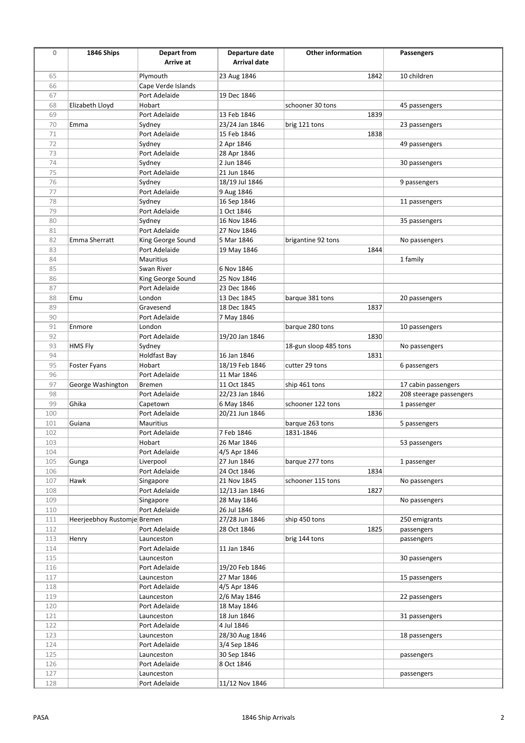| $\mathbf 0$ | 1846 Ships                  | <b>Depart from</b> | Departure date      | <b>Other information</b> | Passengers              |
|-------------|-----------------------------|--------------------|---------------------|--------------------------|-------------------------|
|             |                             | Arrive at          | <b>Arrival date</b> |                          |                         |
|             |                             |                    |                     |                          |                         |
| 65          |                             | Plymouth           | 23 Aug 1846         | 1842                     | 10 children             |
| 66          |                             | Cape Verde Islands |                     |                          |                         |
| 67          |                             | Port Adelaide      | 19 Dec 1846         |                          |                         |
| 68          | Elizabeth Lloyd             | Hobart             |                     | schooner 30 tons         | 45 passengers           |
| 69          |                             | Port Adelaide      | 13 Feb 1846         | 1839                     |                         |
| 70          | Emma                        | Sydney             | 23/24 Jan 1846      | brig 121 tons            | 23 passengers           |
| 71          |                             | Port Adelaide      | 15 Feb 1846         | 1838                     |                         |
| 72          |                             | Sydney             | 2 Apr 1846          |                          | 49 passengers           |
| 73          |                             | Port Adelaide      | 28 Apr 1846         |                          |                         |
| 74          |                             | Sydney             | 2 Jun 1846          |                          | 30 passengers           |
| 75          |                             | Port Adelaide      | 21 Jun 1846         |                          |                         |
| 76          |                             | Sydney             | 18/19 Jul 1846      |                          | 9 passengers            |
| 77          |                             | Port Adelaide      | 9 Aug 1846          |                          |                         |
| 78          |                             | Sydney             | 16 Sep 1846         |                          | 11 passengers           |
| 79          |                             | Port Adelaide      | 1 Oct 1846          |                          |                         |
| 80          |                             | Sydney             | 16 Nov 1846         |                          | 35 passengers           |
| 81          |                             | Port Adelaide      | 27 Nov 1846         |                          |                         |
| 82          | Emma Sherratt               | King George Sound  | 5 Mar 1846          | brigantine 92 tons       | No passengers           |
| 83          |                             | Port Adelaide      | 19 May 1846         | 1844                     |                         |
| 84          |                             | Mauritius          |                     |                          | 1 family                |
| 85          |                             | Swan River         | 6 Nov 1846          |                          |                         |
| 86          |                             | King George Sound  | 25 Nov 1846         |                          |                         |
| 87          |                             | Port Adelaide      | 23 Dec 1846         |                          |                         |
| 88          | Emu                         | London             | 13 Dec 1845         | barque 381 tons          | 20 passengers           |
| 89          |                             | Gravesend          | 18 Dec 1845         | 1837                     |                         |
| 90          |                             | Port Adelaide      | 7 May 1846          |                          |                         |
| 91          | Enmore                      | London             |                     | barque 280 tons          | 10 passengers           |
| 92          |                             | Port Adelaide      | 19/20 Jan 1846      | 1830                     |                         |
|             |                             |                    |                     |                          |                         |
| 93          | HMS Fly                     | Sydney             |                     | 18-gun sloop 485 tons    | No passengers           |
| 94          |                             | Holdfast Bay       | 16 Jan 1846         | 1831                     |                         |
| 95          | Foster Fyans                | Hobart             | 18/19 Feb 1846      | cutter 29 tons           | 6 passengers            |
| 96          |                             | Port Adelaide      | 11 Mar 1846         |                          |                         |
| 97          | George Washington           | Bremen             | 11 Oct 1845         | ship 461 tons            | 17 cabin passengers     |
| 98          |                             | Port Adelaide      | 22/23 Jan 1846      | 1822                     | 208 steerage passengers |
| 99          | Ghika                       | Capetown           | 6 May 1846          | schooner 122 tons        | 1 passenger             |
| 100         |                             | Port Adelaide      | 20/21 Jun 1846      | 1836                     |                         |
| 101         | Guiana                      | Mauritius          |                     | barque 263 tons          | 5 passengers            |
| 102         |                             | Port Adelaide      | 7 Feb 1846          | 1831-1846                |                         |
| 103         |                             | Hobart             | 26 Mar 1846         |                          | 53 passengers           |
| 104         |                             | Port Adelaide      | 4/5 Apr 1846        |                          |                         |
| 105         | Gunga                       | Liverpool          | 27 Jun 1846         | barque 277 tons          | 1 passenger             |
| 106         |                             | Port Adelaide      | 24 Oct 1846         | 1834                     |                         |
| 107         | Hawk                        | Singapore          | 21 Nov 1845         | schooner 115 tons        | No passengers           |
| 108         |                             | Port Adelaide      | 12/13 Jan 1846      | 1827                     |                         |
| 109         |                             | Singapore          | 28 May 1846         |                          | No passengers           |
| 110         |                             | Port Adelaide      | 26 Jul 1846         |                          |                         |
| 111         | Heerjeebhoy Rustomje Bremen |                    | 27/28 Jun 1846      | ship 450 tons            | 250 emigrants           |
| 112         |                             | Port Adelaide      | 28 Oct 1846         | 1825                     | passengers              |
| 113         | Henry                       | Launceston         |                     | brig 144 tons            | passengers              |
| 114         |                             | Port Adelaide      | 11 Jan 1846         |                          |                         |
| 115         |                             | Launceston         |                     |                          | 30 passengers           |
| 116         |                             | Port Adelaide      | 19/20 Feb 1846      |                          |                         |
| 117         |                             |                    | 27 Mar 1846         |                          |                         |
|             |                             | Launceston         |                     |                          | 15 passengers           |
| 118         |                             | Port Adelaide      | 4/5 Apr 1846        |                          |                         |
| 119         |                             | Launceston         | 2/6 May 1846        |                          | 22 passengers           |
| 120         |                             | Port Adelaide      | 18 May 1846         |                          |                         |
| 121         |                             | Launceston         | 18 Jun 1846         |                          | 31 passengers           |
| 122         |                             | Port Adelaide      | 4 Jul 1846          |                          |                         |
| 123         |                             | Launceston         | 28/30 Aug 1846      |                          | 18 passengers           |
| 124         |                             | Port Adelaide      | 3/4 Sep 1846        |                          |                         |
| 125         |                             | Launceston         | 30 Sep 1846         |                          | passengers              |
| 126         |                             | Port Adelaide      | 8 Oct 1846          |                          |                         |
| 127         |                             | Launceston         |                     |                          | passengers              |
| 128         |                             | Port Adelaide      | 11/12 Nov 1846      |                          |                         |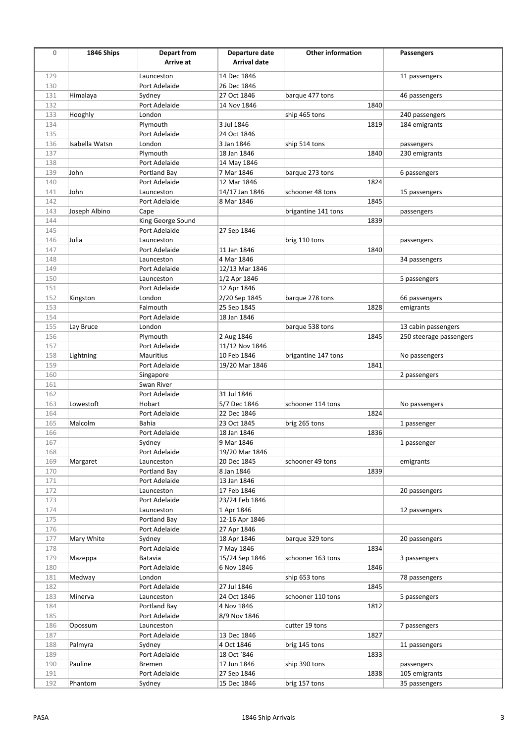| $\mathbf 0$ | 1846 Ships     | <b>Depart from</b>      | Departure date      | <b>Other information</b> | Passengers              |
|-------------|----------------|-------------------------|---------------------|--------------------------|-------------------------|
|             |                | Arrive at               | <b>Arrival date</b> |                          |                         |
|             |                |                         |                     |                          |                         |
| 129         |                | Launceston              | 14 Dec 1846         |                          | 11 passengers           |
| 130         |                | Port Adelaide           | 26 Dec 1846         |                          |                         |
| 131         | Himalaya       | Sydney                  | 27 Oct 1846         | barque 477 tons          | 46 passengers           |
| 132         |                | Port Adelaide           | 14 Nov 1846         | 1840                     |                         |
| 133         | Hooghly        | London                  |                     | ship 465 tons            | 240 passengers          |
| 134         |                | Plymouth                | 3 Jul 1846          | 1819                     | 184 emigrants           |
| 135         |                | Port Adelaide           | 24 Oct 1846         |                          |                         |
| 136         | Isabella Watsn | London                  | 3 Jan 1846          | ship 514 tons            | passengers              |
| 137         |                | Plymouth                | 18 Jan 1846         | 1840                     | 230 emigrants           |
| 138         |                | Port Adelaide           | 14 May 1846         |                          |                         |
| 139         | John           | Portland Bay            | 7 Mar 1846          | barque 273 tons          | 6 passengers            |
| 140         |                | Port Adelaide           | 12 Mar 1846         | 1824                     |                         |
| 141         | John           | Launceston              | 14/17 Jan 1846      | schooner 48 tons         | 15 passengers           |
| 142         |                | Port Adelaide           | 8 Mar 1846          | 1845                     |                         |
| 143         | Joseph Albino  | Cape                    |                     | brigantine 141 tons      | passengers              |
| 144         |                | King George Sound       |                     | 1839                     |                         |
| 145         |                | Port Adelaide           | 27 Sep 1846         |                          |                         |
| 146         | Julia          | Launceston              |                     | brig 110 tons            | passengers              |
| 147         |                | Port Adelaide           | 11 Jan 1846         | 1840                     |                         |
| 148         |                | Launceston              | 4 Mar 1846          |                          | 34 passengers           |
| 149         |                | Port Adelaide           | 12/13 Mar 1846      |                          |                         |
| 150         |                | Launceston              | 1/2 Apr 1846        |                          | 5 passengers            |
| 151         |                | Port Adelaide           | 12 Apr 1846         |                          |                         |
| 152         | Kingston       | London                  | 2/20 Sep 1845       | barque 278 tons          | 66 passengers           |
| 153         |                | Falmouth                | 25 Sep 1845         | 1828                     | emigrants               |
| 154         |                | Port Adelaide           | 18 Jan 1846         |                          |                         |
| 155         | Lay Bruce      | London                  |                     | barque 538 tons          | 13 cabin passengers     |
| 156         |                | Plymouth                | 2 Aug 1846          | 1845                     | 250 steerage passengers |
| 157         |                | Port Adelaide           | 11/12 Nov 1846      |                          |                         |
| 158         | Lightning      | Mauritius               | 10 Feb 1846         | brigantine 147 tons      | No passengers           |
| 159         |                | Port Adelaide           | 19/20 Mar 1846      | 1841                     |                         |
| 160         |                | Singapore               |                     |                          | 2 passengers            |
| 161         |                | Swan River              |                     |                          |                         |
| 162         |                | Port Adelaide           | 31 Jul 1846         |                          |                         |
| 163         | Lowestoft      | Hobart                  | 5/7 Dec 1846        | schooner 114 tons        | No passengers           |
| 164         |                | Port Adelaide           | 22 Dec 1846         | 1824                     |                         |
| 165         | Malcolm        | Bahia                   | 23 Oct 1845         | brig 265 tons            | 1 passenger             |
| 166         |                | Port Adelaide           | 18 Jan 1846         | 1836                     |                         |
| 167         |                | Sydney                  | 9 Mar 1846          |                          | 1 passenger             |
| 168         |                | Port Adelaide           | 19/20 Mar 1846      |                          |                         |
| 169         | Margaret       | Launceston              | 20 Dec 1845         | schooner 49 tons         | emigrants               |
| 170         |                | Portland Bay            | 8 Jan 1846          | 1839                     |                         |
| 171         |                | Port Adelaide           | 13 Jan 1846         |                          |                         |
| 172         |                | Launceston              | 17 Feb 1846         |                          | 20 passengers           |
| 173         |                | Port Adelaide           | 23/24 Feb 1846      |                          |                         |
| 174         |                | Launceston              | 1 Apr 1846          |                          | 12 passengers           |
| 175         |                | Portland Bay            | 12-16 Apr 1846      |                          |                         |
| 176         |                | Port Adelaide           | 27 Apr 1846         |                          |                         |
| 177         | Mary White     |                         | 18 Apr 1846         | barque 329 tons          | 20 passengers           |
| 178         |                | Sydney<br>Port Adelaide | 7 May 1846          | 1834                     |                         |
| 179         |                | Batavia                 | 15/24 Sep 1846      | schooner 163 tons        |                         |
|             | Mazeppa        | Port Adelaide           |                     |                          | 3 passengers            |
| 180         |                |                         | 6 Nov 1846          | 1846                     |                         |
| 181         | Medway         | London                  |                     | ship 653 tons            | 78 passengers           |
| 182         |                | Port Adelaide           | 27 Jul 1846         | 1845                     |                         |
| 183         | Minerva        | Launceston              | 24 Oct 1846         | schooner 110 tons        | 5 passengers            |
| 184         |                | Portland Bay            | 4 Nov 1846          | 1812                     |                         |
| 185         |                | Port Adelaide           | 8/9 Nov 1846        |                          |                         |
| 186         | Opossum        | Launceston              |                     | cutter 19 tons           | 7 passengers            |
| 187         |                | Port Adelaide           | 13 Dec 1846         | 1827                     |                         |
| 188         | Palmyra        | Sydney                  | 4 Oct 1846          | brig 145 tons            | 11 passengers           |
| 189         |                | Port Adelaide           | 18 Oct `846         | 1833                     |                         |
| 190         | Pauline        | Bremen                  | 17 Jun 1846         | ship 390 tons            | passengers              |
| 191         |                | Port Adelaide           | 27 Sep 1846         | 1838                     | 105 emigrants           |
| 192         | Phantom        | Sydney                  | 15 Dec 1846         | brig 157 tons            | 35 passengers           |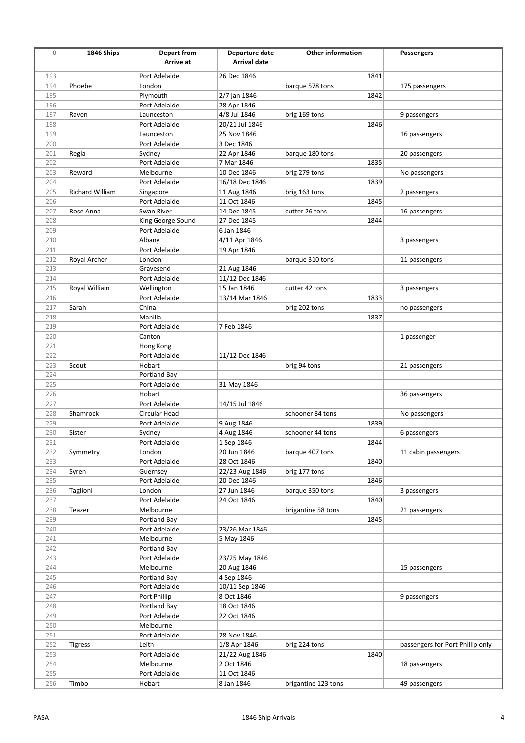| $\mathbf 0$ | 1846 Ships      | Depart from       | Departure date      | <b>Other information</b> | Passengers                       |
|-------------|-----------------|-------------------|---------------------|--------------------------|----------------------------------|
|             |                 | Arrive at         | <b>Arrival date</b> |                          |                                  |
|             |                 |                   |                     |                          |                                  |
| 193         |                 | Port Adelaide     | 26 Dec 1846         | 1841                     |                                  |
| 194         | Phoebe          | London            |                     | barque 578 tons          | 175 passengers                   |
| 195         |                 | Plymouth          | 2/7 jan 1846        | 1842                     |                                  |
| 196         |                 | Port Adelaide     | 28 Apr 1846         |                          |                                  |
| 197         | Raven           | Launceston        | 4/8 Jul 1846        | brig 169 tons            | 9 passengers                     |
| 198         |                 | Port Adelaide     | 20/21 Jul 1846      | 1846                     |                                  |
| 199         |                 | Launceston        | 25 Nov 1846         |                          | 16 passengers                    |
| 200         |                 | Port Adelaide     | 3 Dec 1846          |                          |                                  |
| 201         | Regia           | Sydney            | 22 Apr 1846         | barque 180 tons          | 20 passengers                    |
| 202         |                 | Port Adelaide     | 7 Mar 1846          | 1835                     |                                  |
| 203         | Reward          | Melbourne         | 10 Dec 1846         | brig 279 tons            | No passengers                    |
| 204         |                 | Port Adelaide     | 16/18 Dec 1846      | 1839                     |                                  |
| 205         | Richard William | Singapore         | 11 Aug 1846         | brig 163 tons            | 2 passengers                     |
| 206         |                 | Port Adelaide     | 11 Oct 1846         | 1845                     |                                  |
| 207         | Rose Anna       | Swan River        | 14 Dec 1845         | cutter 26 tons           | 16 passengers                    |
| 208         |                 | King George Sound | 27 Dec 1845         | 1844                     |                                  |
| 209         |                 | Port Adelaide     | 6 Jan 1846          |                          |                                  |
| 210         |                 | Albany            | 4/11 Apr 1846       |                          | 3 passengers                     |
| 211         |                 | Port Adelaide     | 19 Apr 1846         |                          |                                  |
| 212         | Royal Archer    | London            |                     | barque 310 tons          | 11 passengers                    |
| 213         |                 | Gravesend         | 21 Aug 1846         |                          |                                  |
| 214         |                 | Port Adelaide     | 11/12 Dec 1846      |                          |                                  |
| 215         | Royal William   | Wellington        | 15 Jan 1846         | cutter 42 tons           | 3 passengers                     |
| 216         |                 | Port Adelaide     | 13/14 Mar 1846      | 1833                     |                                  |
| 217         | Sarah           | China             |                     | brig 202 tons            | no passengers                    |
| 218         |                 | Manilla           |                     | 1837                     |                                  |
| 219         |                 | Port Adelaide     | 7 Feb 1846          |                          |                                  |
| 220         |                 | Canton            |                     |                          | 1 passenger                      |
| 221         |                 | Hong Kong         |                     |                          |                                  |
| 222         |                 | Port Adelaide     | 11/12 Dec 1846      |                          |                                  |
| 223         | Scout           | Hobart            |                     | brig 94 tons             | 21 passengers                    |
| 224         |                 | Portland Bay      |                     |                          |                                  |
| 225         |                 | Port Adelaide     | 31 May 1846         |                          |                                  |
| 226         |                 | Hobart            |                     |                          | 36 passengers                    |
| 227         |                 | Port Adelaide     | 14/15 Jul 1846      |                          |                                  |
| 228         | Shamrock        | Circular Head     |                     | schooner 84 tons         | No passengers                    |
| 229         |                 | Port Adelaide     | 9 Aug 1846          | 1839                     |                                  |
| 230         | Sister          | Sydney            | 4 Aug 1846          | schooner 44 tons         | 6 passengers                     |
| 231         |                 | Port Adelaide     | 1 Sep 1846          | 1844                     |                                  |
| 232         | Symmetry        | London            | 20 Jun 1846         | barque 407 tons          | 11 cabin passengers              |
| 233         |                 | Port Adelaide     | 28 Oct 1846         | 1840                     |                                  |
| 234         | Syren           | Guernsey          | 22/23 Aug 1846      | brig 177 tons            |                                  |
| 235         |                 | Port Adelaide     | 20 Dec 1846         | 1846                     |                                  |
| 236         | Taglioni        | London            | 27 Jun 1846         | barque 350 tons          | 3 passengers                     |
| 237         |                 | Port Adelaide     | 24 Oct 1846         | 1840                     |                                  |
| 238         | Teazer          | Melbourne         |                     | brigantine 58 tons       | 21 passengers                    |
| 239         |                 | Portland Bay      |                     | 1845                     |                                  |
| 240         |                 | Port Adelaide     | 23/26 Mar 1846      |                          |                                  |
| 241         |                 | Melbourne         | 5 May 1846          |                          |                                  |
| 242         |                 | Portland Bay      |                     |                          |                                  |
| 243         |                 | Port Adelaide     | 23/25 May 1846      |                          |                                  |
| 244         |                 | Melbourne         | 20 Aug 1846         |                          | 15 passengers                    |
| 245         |                 | Portland Bay      | 4 Sep 1846          |                          |                                  |
| 246         |                 | Port Adelaide     | 10/11 Sep 1846      |                          |                                  |
| 247         |                 | Port Phillip      | 8 Oct 1846          |                          | 9 passengers                     |
| 248         |                 | Portland Bay      | 18 Oct 1846         |                          |                                  |
| 249         |                 | Port Adelaide     | 22 Oct 1846         |                          |                                  |
| 250         |                 | Melbourne         |                     |                          |                                  |
| 251         |                 | Port Adelaide     | 28 Nov 1846         |                          |                                  |
| 252         | Tigress         | Leith             | 1/8 Apr 1846        | brig 224 tons            | passengers for Port Phillip only |
| 253         |                 | Port Adelaide     | 21/22 Aug 1846      | 1840                     |                                  |
| 254         |                 | Melbourne         | 2 Oct 1846          |                          | 18 passengers                    |
| 255         |                 | Port Adelaide     | 11 Oct 1846         |                          |                                  |
| 256         | Timbo           | Hobart            | 8 Jan 1846          | brigantine 123 tons      | 49 passengers                    |